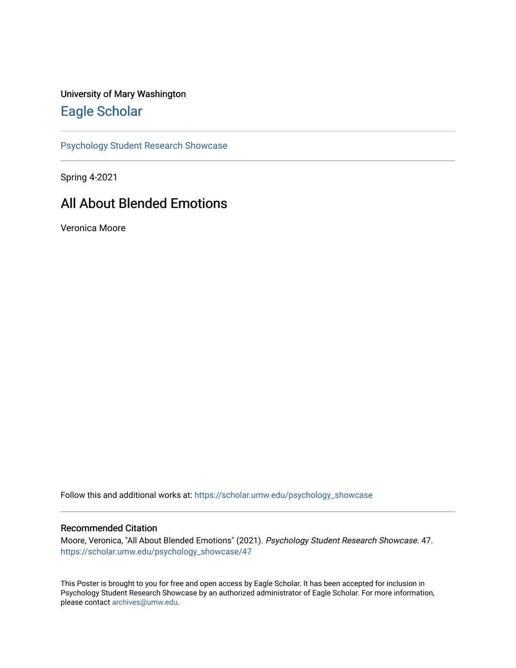## University of Mary Washington [Eagle Scholar](https://scholar.umw.edu/)

[Psychology Student Research Showcase](https://scholar.umw.edu/psychology_showcase)

Spring 4-2021

## All About Blended Emotions

Veronica Moore

Follow this and additional works at: [https://scholar.umw.edu/psychology\\_showcase](https://scholar.umw.edu/psychology_showcase?utm_source=scholar.umw.edu%2Fpsychology_showcase%2F47&utm_medium=PDF&utm_campaign=PDFCoverPages)

## Recommended Citation

Moore, Veronica, "All About Blended Emotions" (2021). Psychology Student Research Showcase. 47. [https://scholar.umw.edu/psychology\\_showcase/47](https://scholar.umw.edu/psychology_showcase/47?utm_source=scholar.umw.edu%2Fpsychology_showcase%2F47&utm_medium=PDF&utm_campaign=PDFCoverPages) 

This Poster is brought to you for free and open access by Eagle Scholar. It has been accepted for inclusion in Psychology Student Research Showcase by an authorized administrator of Eagle Scholar. For more information, please contact [archives@umw.edu.](mailto:archives@umw.edu)